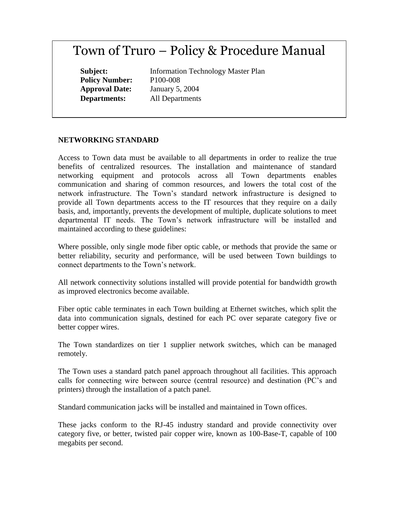# Town of Truro – Policy & Procedure Manual

**Policy Number:** P100-008

**Subject:** Information Technology Master Plan **Approval Date:** January 5, 2004 **Departments:** All Departments

# **NETWORKING STANDARD**

Access to Town data must be available to all departments in order to realize the true benefits of centralized resources. The installation and maintenance of standard networking equipment and protocols across all Town departments enables communication and sharing of common resources, and lowers the total cost of the network infrastructure. The Town's standard network infrastructure is designed to provide all Town departments access to the IT resources that they require on a daily basis, and, importantly, prevents the development of multiple, duplicate solutions to meet departmental IT needs. The Town's network infrastructure will be installed and maintained according to these guidelines:

Where possible, only single mode fiber optic cable, or methods that provide the same or better reliability, security and performance, will be used between Town buildings to connect departments to the Town's network.

All network connectivity solutions installed will provide potential for bandwidth growth as improved electronics become available.

Fiber optic cable terminates in each Town building at Ethernet switches, which split the data into communication signals, destined for each PC over separate category five or better copper wires.

The Town standardizes on tier 1 supplier network switches, which can be managed remotely.

The Town uses a standard patch panel approach throughout all facilities. This approach calls for connecting wire between source (central resource) and destination (PC's and printers) through the installation of a patch panel.

Standard communication jacks will be installed and maintained in Town offices.

These jacks conform to the RJ-45 industry standard and provide connectivity over category five, or better, twisted pair copper wire, known as 100-Base-T, capable of 100 megabits per second.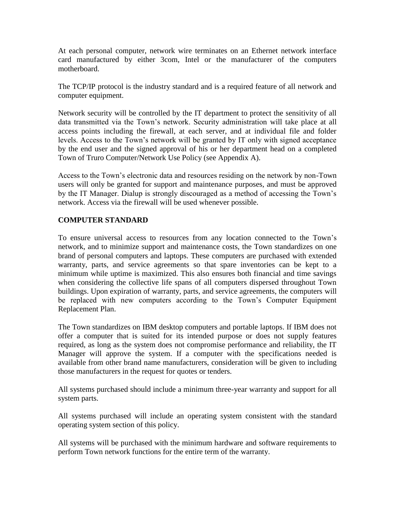At each personal computer, network wire terminates on an Ethernet network interface card manufactured by either 3com, Intel or the manufacturer of the computers motherboard.

The TCP/IP protocol is the industry standard and is a required feature of all network and computer equipment.

Network security will be controlled by the IT department to protect the sensitivity of all data transmitted via the Town's network. Security administration will take place at all access points including the firewall, at each server, and at individual file and folder levels. Access to the Town's network will be granted by IT only with signed acceptance by the end user and the signed approval of his or her department head on a completed Town of Truro Computer/Network Use Policy (see Appendix A).

Access to the Town's electronic data and resources residing on the network by non-Town users will only be granted for support and maintenance purposes, and must be approved by the IT Manager. Dialup is strongly discouraged as a method of accessing the Town's network. Access via the firewall will be used whenever possible.

# **COMPUTER STANDARD**

To ensure universal access to resources from any location connected to the Town's network, and to minimize support and maintenance costs, the Town standardizes on one brand of personal computers and laptops. These computers are purchased with extended warranty, parts, and service agreements so that spare inventories can be kept to a minimum while uptime is maximized. This also ensures both financial and time savings when considering the collective life spans of all computers dispersed throughout Town buildings. Upon expiration of warranty, parts, and service agreements, the computers will be replaced with new computers according to the Town's Computer Equipment Replacement Plan.

The Town standardizes on IBM desktop computers and portable laptops. If IBM does not offer a computer that is suited for its intended purpose or does not supply features required, as long as the system does not compromise performance and reliability, the IT Manager will approve the system. If a computer with the specifications needed is available from other brand name manufacturers, consideration will be given to including those manufacturers in the request for quotes or tenders.

All systems purchased should include a minimum three-year warranty and support for all system parts.

All systems purchased will include an operating system consistent with the standard operating system section of this policy.

All systems will be purchased with the minimum hardware and software requirements to perform Town network functions for the entire term of the warranty.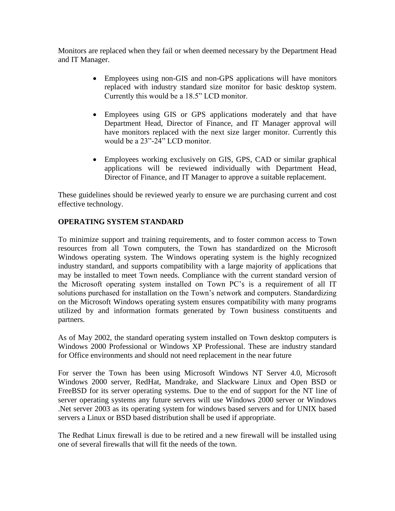Monitors are replaced when they fail or when deemed necessary by the Department Head and IT Manager.

- Employees using non-GIS and non-GPS applications will have monitors replaced with industry standard size monitor for basic desktop system. Currently this would be a 18.5" LCD monitor.
- Employees using GIS or GPS applications moderately and that have Department Head, Director of Finance, and IT Manager approval will have monitors replaced with the next size larger monitor. Currently this would be a 23"-24" LCD monitor.
- Employees working exclusively on GIS, GPS, CAD or similar graphical applications will be reviewed individually with Department Head, Director of Finance, and IT Manager to approve a suitable replacement.

These guidelines should be reviewed yearly to ensure we are purchasing current and cost effective technology.

# **OPERATING SYSTEM STANDARD**

To minimize support and training requirements, and to foster common access to Town resources from all Town computers, the Town has standardized on the Microsoft Windows operating system. The Windows operating system is the highly recognized industry standard, and supports compatibility with a large majority of applications that may be installed to meet Town needs. Compliance with the current standard version of the Microsoft operating system installed on Town PC's is a requirement of all IT solutions purchased for installation on the Town's network and computers. Standardizing on the Microsoft Windows operating system ensures compatibility with many programs utilized by and information formats generated by Town business constituents and partners.

As of May 2002, the standard operating system installed on Town desktop computers is Windows 2000 Professional or Windows XP Professional. These are industry standard for Office environments and should not need replacement in the near future

For server the Town has been using Microsoft Windows NT Server 4.0, Microsoft Windows 2000 server, RedHat, Mandrake, and Slackware Linux and Open BSD or FreeBSD for its server operating systems. Due to the end of support for the NT line of server operating systems any future servers will use Windows 2000 server or Windows .Net server 2003 as its operating system for windows based servers and for UNIX based servers a Linux or BSD based distribution shall be used if appropriate.

The Redhat Linux firewall is due to be retired and a new firewall will be installed using one of several firewalls that will fit the needs of the town.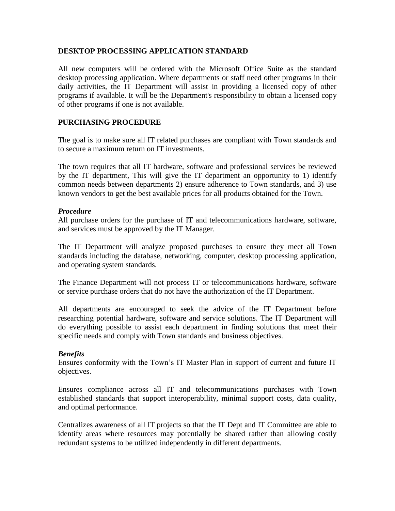## **DESKTOP PROCESSING APPLICATION STANDARD**

All new computers will be ordered with the Microsoft Office Suite as the standard desktop processing application. Where departments or staff need other programs in their daily activities, the IT Department will assist in providing a licensed copy of other programs if available. It will be the Department's responsibility to obtain a licensed copy of other programs if one is not available.

## **PURCHASING PROCEDURE**

The goal is to make sure all IT related purchases are compliant with Town standards and to secure a maximum return on IT investments.

The town requires that all IT hardware, software and professional services be reviewed by the IT department, This will give the IT department an opportunity to 1) identify common needs between departments 2) ensure adherence to Town standards, and 3) use known vendors to get the best available prices for all products obtained for the Town.

#### *Procedure*

All purchase orders for the purchase of IT and telecommunications hardware, software, and services must be approved by the IT Manager.

The IT Department will analyze proposed purchases to ensure they meet all Town standards including the database, networking, computer, desktop processing application, and operating system standards.

The Finance Department will not process IT or telecommunications hardware, software or service purchase orders that do not have the authorization of the IT Department.

All departments are encouraged to seek the advice of the IT Department before researching potential hardware, software and service solutions. The IT Department will do everything possible to assist each department in finding solutions that meet their specific needs and comply with Town standards and business objectives.

#### *Benefits*

Ensures conformity with the Town's IT Master Plan in support of current and future IT objectives.

Ensures compliance across all IT and telecommunications purchases with Town established standards that support interoperability, minimal support costs, data quality, and optimal performance.

Centralizes awareness of all IT projects so that the IT Dept and IT Committee are able to identify areas where resources may potentially be shared rather than allowing costly redundant systems to be utilized independently in different departments.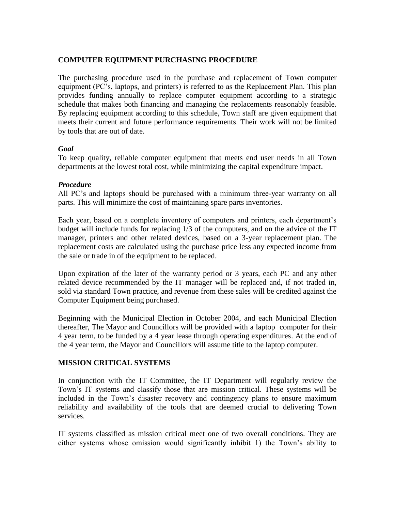### **COMPUTER EQUIPMENT PURCHASING PROCEDURE**

The purchasing procedure used in the purchase and replacement of Town computer equipment (PC's, laptops, and printers) is referred to as the Replacement Plan. This plan provides funding annually to replace computer equipment according to a strategic schedule that makes both financing and managing the replacements reasonably feasible. By replacing equipment according to this schedule, Town staff are given equipment that meets their current and future performance requirements. Their work will not be limited by tools that are out of date.

## *Goal*

To keep quality, reliable computer equipment that meets end user needs in all Town departments at the lowest total cost, while minimizing the capital expenditure impact.

#### *Procedure*

All PC's and laptops should be purchased with a minimum three-year warranty on all parts. This will minimize the cost of maintaining spare parts inventories.

Each year, based on a complete inventory of computers and printers, each department's budget will include funds for replacing 1/3 of the computers, and on the advice of the IT manager, printers and other related devices, based on a 3-year replacement plan. The replacement costs are calculated using the purchase price less any expected income from the sale or trade in of the equipment to be replaced.

Upon expiration of the later of the warranty period or 3 years, each PC and any other related device recommended by the IT manager will be replaced and, if not traded in, sold via standard Town practice, and revenue from these sales will be credited against the Computer Equipment being purchased.

Beginning with the Municipal Election in October 2004, and each Municipal Election thereafter, The Mayor and Councillors will be provided with a laptop computer for their 4 year term, to be funded by a 4 year lease through operating expenditures. At the end of the 4 year term, the Mayor and Councillors will assume title to the laptop computer.

# **MISSION CRITICAL SYSTEMS**

In conjunction with the IT Committee, the IT Department will regularly review the Town's IT systems and classify those that are mission critical. These systems will be included in the Town's disaster recovery and contingency plans to ensure maximum reliability and availability of the tools that are deemed crucial to delivering Town services.

IT systems classified as mission critical meet one of two overall conditions. They are either systems whose omission would significantly inhibit 1) the Town's ability to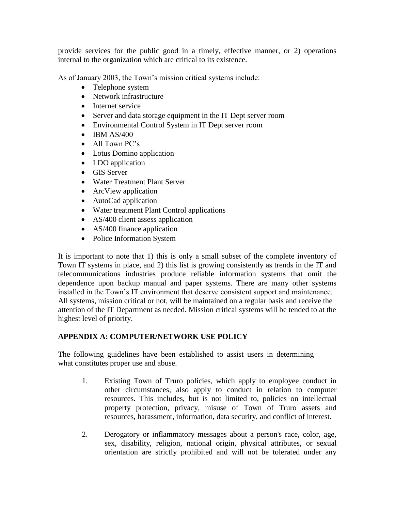provide services for the public good in a timely, effective manner, or 2) operations internal to the organization which are critical to its existence.

As of January 2003, the Town's mission critical systems include:

- Telephone system
- Network infrastructure
- Internet service
- Server and data storage equipment in the IT Dept server room
- Environmental Control System in IT Dept server room
- $\bullet$  IBM AS/400
- All Town PC's
- Lotus Domino application
- LDO application
- GIS Server
- Water Treatment Plant Server
- ArcView application
- AutoCad application
- Water treatment Plant Control applications
- AS/400 client assess application
- AS/400 finance application
- Police Information System

It is important to note that 1) this is only a small subset of the complete inventory of Town IT systems in place, and 2) this list is growing consistently as trends in the IT and telecommunications industries produce reliable information systems that omit the dependence upon backup manual and paper systems. There are many other systems installed in the Town's IT environment that deserve consistent support and maintenance. All systems, mission critical or not, will be maintained on a regular basis and receive the attention of the IT Department as needed. Mission critical systems will be tended to at the highest level of priority.

# **APPENDIX A: COMPUTER/NETWORK USE POLICY**

The following guidelines have been established to assist users in determining what constitutes proper use and abuse.

- 1. Existing Town of Truro policies, which apply to employee conduct in other circumstances, also apply to conduct in relation to computer resources. This includes, but is not limited to, policies on intellectual property protection, privacy, misuse of Town of Truro assets and resources, harassment, information, data security, and conflict of interest.
- 2. Derogatory or inflammatory messages about a person's race, color, age, sex, disability, religion, national origin, physical attributes, or sexual orientation are strictly prohibited and will not be tolerated under any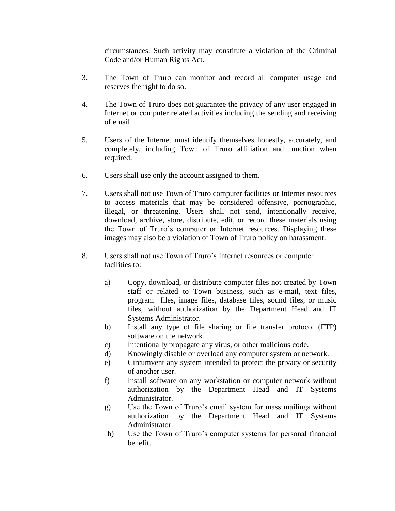circumstances. Such activity may constitute a violation of the Criminal Code and/or Human Rights Act.

- 3. The Town of Truro can monitor and record all computer usage and reserves the right to do so.
- 4. The Town of Truro does not guarantee the privacy of any user engaged in Internet or computer related activities including the sending and receiving of email.
- 5. Users of the Internet must identify themselves honestly, accurately, and completely, including Town of Truro affiliation and function when required.
- 6. Users shall use only the account assigned to them.
- 7. Users shall not use Town of Truro computer facilities or Internet resources to access materials that may be considered offensive, pornographic, illegal, or threatening. Users shall not send, intentionally receive, download, archive, store, distribute, edit, or record these materials using the Town of Truro's computer or Internet resources. Displaying these images may also be a violation of Town of Truro policy on harassment.
- 8. Users shall not use Town of Truro's Internet resources or computer facilities to:
	- a) Copy, download, or distribute computer files not created by Town staff or related to Town business, such as e-mail, text files, program files, image files, database files, sound files, or music files, without authorization by the Department Head and IT Systems Administrator.
	- b) Install any type of file sharing or file transfer protocol (FTP) software on the network
	- c) Intentionally propagate any virus, or other malicious code.
	- d) Knowingly disable or overload any computer system or network.
	- e) Circumvent any system intended to protect the privacy or security of another user.
	- f) Install software on any workstation or computer network without authorization by the Department Head and IT Systems Administrator.
	- g) Use the Town of Truro's email system for mass mailings without authorization by the Department Head and IT Systems Administrator.
	- h) Use the Town of Truro's computer systems for personal financial benefit.